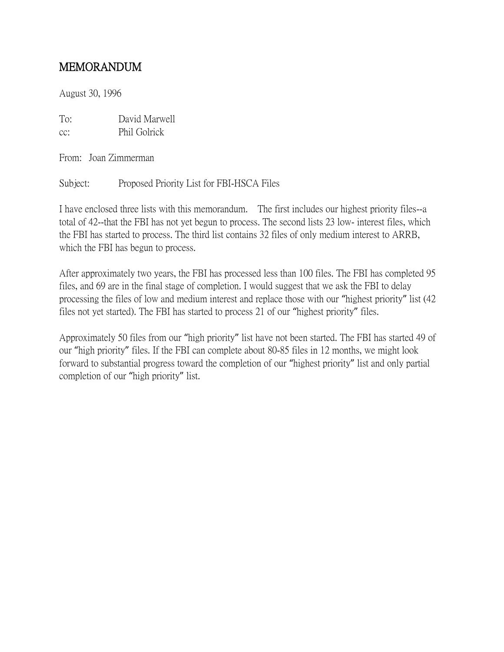## MEMORANDUM

August 30, 1996

To: David Marwell cc: Phil Golrick

From: Joan Zimmerman

Subject: Proposed Priority List for FBI-HSCA Files

I have enclosed three lists with this memorandum. The first includes our highest priority files--a total of 42--that the FBI has not yet begun to process. The second lists 23 low- interest files, which the FBI has started to process. The third list contains 32 files of only medium interest to ARRB, which the FBI has begun to process.

After approximately two years, the FBI has processed less than 100 files. The FBI has completed 95 files, and 69 are in the final stage of completion. I would suggest that we ask the FBI to delay processing the files of low and medium interest and replace those with our "highest priority" list (42 files not yet started). The FBI has started to process 21 of our "highest priority" files.

Approximately 50 files from our "high priority" list have not been started. The FBI has started 49 of our "high priority" files. If the FBI can complete about 80-85 files in 12 months, we might look forward to substantial progress toward the completion of our "highest priority" list and only partial completion of our "high priority" list.